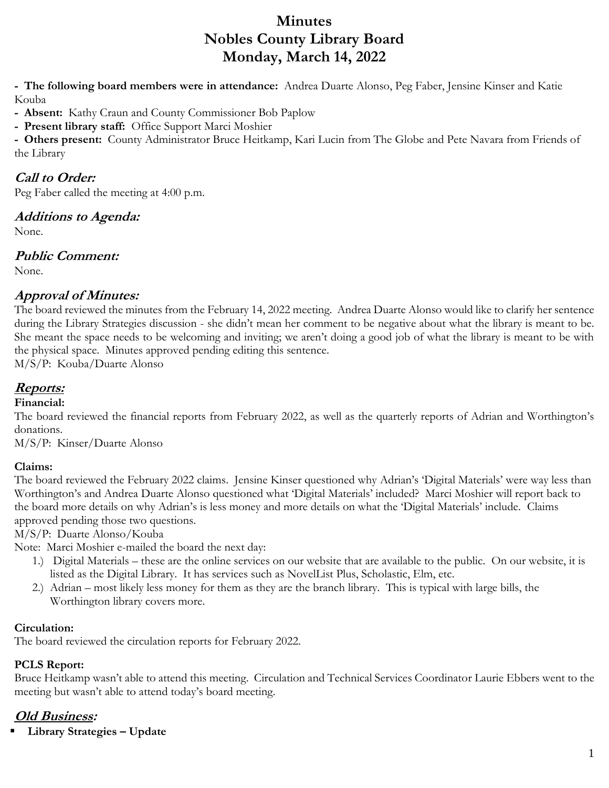# **Minutes Nobles County Library Board Monday, March 14, 2022**

**- The following board members were in attendance:** Andrea Duarte Alonso, Peg Faber, Jensine Kinser and Katie Kouba

**- Absent:** Kathy Craun and County Commissioner Bob Paplow

**- Present library staff:** Office Support Marci Moshier

**- Others present:** County Administrator Bruce Heitkamp, Kari Lucin from The Globe and Pete Navara from Friends of the Library

## **Call to Order:**

Peg Faber called the meeting at 4:00 p.m.

### **Additions to Agenda:**

None.

## **Public Comment:**

None.

## **Approval of Minutes:**

The board reviewed the minutes from the February 14, 2022 meeting. Andrea Duarte Alonso would like to clarify her sentence during the Library Strategies discussion - she didn't mean her comment to be negative about what the library is meant to be. She meant the space needs to be welcoming and inviting; we aren't doing a good job of what the library is meant to be with the physical space. Minutes approved pending editing this sentence.

M/S/P: Kouba/Duarte Alonso

# **Reports:**

### **Financial:**

The board reviewed the financial reports from February 2022, as well as the quarterly reports of Adrian and Worthington's donations.

M/S/P: Kinser/Duarte Alonso

### **Claims:**

The board reviewed the February 2022 claims. Jensine Kinser questioned why Adrian's 'Digital Materials' were way less than Worthington's and Andrea Duarte Alonso questioned what 'Digital Materials' included? Marci Moshier will report back to the board more details on why Adrian's is less money and more details on what the 'Digital Materials' include. Claims approved pending those two questions.

M/S/P: Duarte Alonso/Kouba

Note: Marci Moshier e-mailed the board the next day:

- 1.) Digital Materials these are the online services on our website that are available to the public. On our website, it is listed as the Digital Library. It has services such as NovelList Plus, Scholastic, Elm, etc.
- 2.) Adrian most likely less money for them as they are the branch library. This is typical with large bills, the Worthington library covers more.

### **Circulation:**

The board reviewed the circulation reports for February 2022.

### **PCLS Report:**

Bruce Heitkamp wasn't able to attend this meeting. Circulation and Technical Services Coordinator Laurie Ebbers went to the meeting but wasn't able to attend today's board meeting.

# **Old Business:**

**Library Strategies – Update**